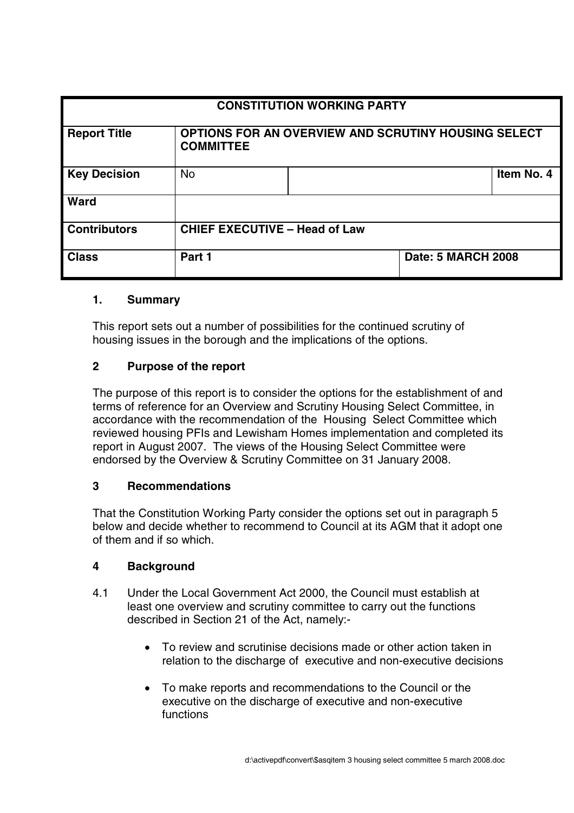| <b>CONSTITUTION WORKING PARTY</b> |                                                                         |  |                           |            |
|-----------------------------------|-------------------------------------------------------------------------|--|---------------------------|------------|
| <b>Report Title</b>               | OPTIONS FOR AN OVERVIEW AND SCRUTINY HOUSING SELECT<br><b>COMMITTEE</b> |  |                           |            |
| <b>Key Decision</b>               | <b>No</b>                                                               |  |                           | Item No. 4 |
| Ward                              |                                                                         |  |                           |            |
| <b>Contributors</b>               | <b>CHIEF EXECUTIVE - Head of Law</b>                                    |  |                           |            |
| <b>Class</b>                      | Part 1                                                                  |  | <b>Date: 5 MARCH 2008</b> |            |

### **1. Summary**

This report sets out a number of possibilities for the continued scrutiny of housing issues in the borough and the implications of the options.

## **2 Purpose of the report**

The purpose of this report is to consider the options for the establishment of and terms of reference for an Overview and Scrutiny Housing Select Committee, in accordance with the recommendation of the Housing Select Committee which reviewed housing PFIs and Lewisham Homes implementation and completed its report in August 2007. The views of the Housing Select Committee were endorsed by the Overview & Scrutiny Committee on 31 January 2008.

# **3 Recommendations**

That the Constitution Working Party consider the options set out in paragraph 5 below and decide whether to recommend to Council at its AGM that it adopt one of them and if so which.

# **4 Background**

- 4.1 Under the Local Government Act 2000, the Council must establish at least one overview and scrutiny committee to carry out the functions described in Section 21 of the Act, namely:-
	- To review and scrutinise decisions made or other action taken in relation to the discharge of executive and non-executive decisions
	- To make reports and recommendations to the Council or the executive on the discharge of executive and non-executive functions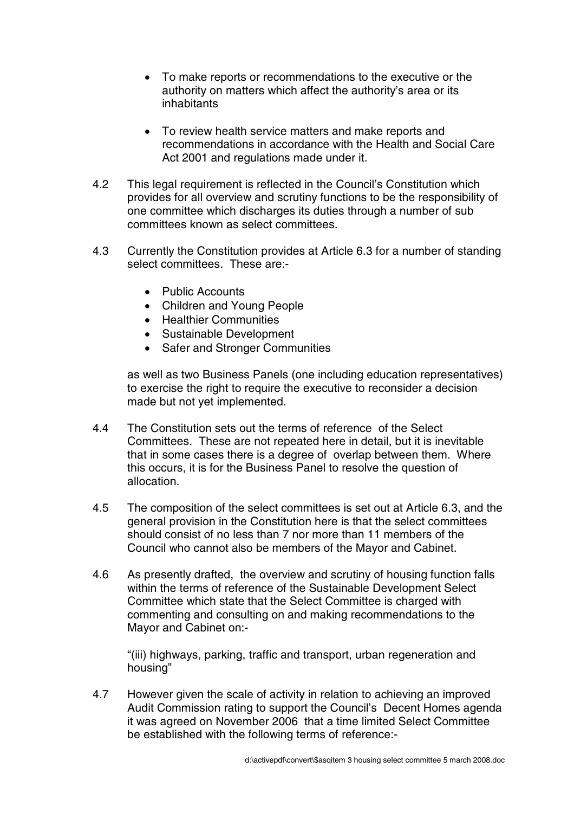- To make reports or recommendations to the executive or the authority on matters which affect the authority's area or its inhabitants
- To review health service matters and make reports and recommendations in accordance with the Health and Social Care Act 2001 and regulations made under it.
- 4.2 This legal requirement is reflected in the Council's Constitution which provides for all overview and scrutiny functions to be the responsibility of one committee which discharges its duties through a number of sub committees known as select committees.
- 4.3 Currently the Constitution provides at Article 6.3 for a number of standing select committees. These are:-
	- Public Accounts
	- Children and Young People
	- Healthier Communities
	- Sustainable Development
	- Safer and Stronger Communities

as well as two Business Panels (one including education representatives) to exercise the right to require the executive to reconsider a decision made but not yet implemented.

- 4.4 The Constitution sets out the terms of reference of the Select Committees. These are not repeated here in detail, but it is inevitable that in some cases there is a degree of overlap between them. Where this occurs, it is for the Business Panel to resolve the question of allocation.
- 4.5 The composition of the select committees is set out at Article 6.3, and the general provision in the Constitution here is that the select committees should consist of no less than 7 nor more than 11 members of the Council who cannot also be members of the Mayor and Cabinet.
- 4.6 As presently drafted, the overview and scrutiny of housing function falls within the terms of reference of the Sustainable Development Select Committee which state that the Select Committee is charged with commenting and consulting on and making recommendations to the Mayor and Cabinet on:-

"(iii) highways, parking, traffic and transport, urban regeneration and housing"

4.7 However given the scale of activity in relation to achieving an improved Audit Commission rating to support the Council's Decent Homes agenda it was agreed on November 2006 that a time limited Select Committee be established with the following terms of reference:-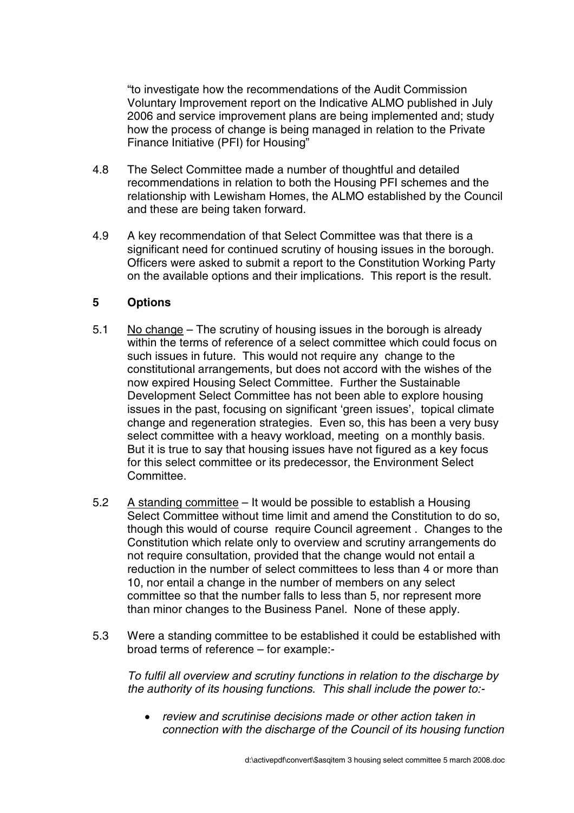"to investigate how the recommendations of the Audit Commission Voluntary Improvement report on the Indicative ALMO published in July 2006 and service improvement plans are being implemented and; study how the process of change is being managed in relation to the Private Finance Initiative (PFI) for Housing"

- 4.8 The Select Committee made a number of thoughtful and detailed recommendations in relation to both the Housing PFI schemes and the relationship with Lewisham Homes, the ALMO established by the Council and these are being taken forward.
- 4.9 A key recommendation of that Select Committee was that there is a significant need for continued scrutiny of housing issues in the borough. Officers were asked to submit a report to the Constitution Working Party on the available options and their implications. This report is the result.

# **5 Options**

- 5.1 No change The scrutiny of housing issues in the borough is already within the terms of reference of a select committee which could focus on such issues in future. This would not require any change to the constitutional arrangements, but does not accord with the wishes of the now expired Housing Select Committee. Further the Sustainable Development Select Committee has not been able to explore housing issues in the past, focusing on significant 'green issues', topical climate change and regeneration strategies. Even so, this has been a very busy select committee with a heavy workload, meeting on a monthly basis. But it is true to say that housing issues have not figured as a key focus for this select committee or its predecessor, the Environment Select Committee.
- 5.2 A standing committee It would be possible to establish a Housing Select Committee without time limit and amend the Constitution to do so, though this would of course require Council agreement . Changes to the Constitution which relate only to overview and scrutiny arrangements do not require consultation, provided that the change would not entail a reduction in the number of select committees to less than 4 or more than 10, nor entail a change in the number of members on any select committee so that the number falls to less than 5, nor represent more than minor changes to the Business Panel. None of these apply.
- 5.3 Were a standing committee to be established it could be established with broad terms of reference – for example:-

To fulfil all overview and scrutiny functions in relation to the discharge by the authority of its housing functions. This shall include the power to:-

• review and scrutinise decisions made or other action taken in connection with the discharge of the Council of its housing function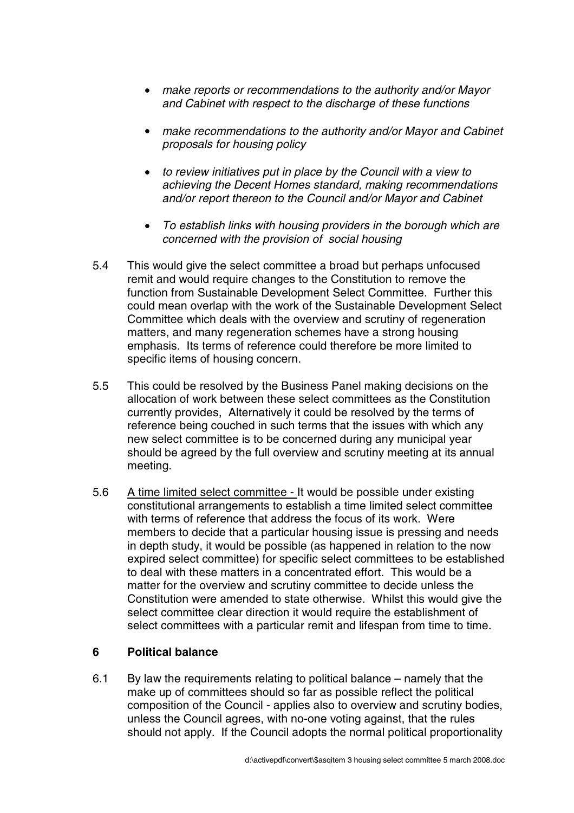- make reports or recommendations to the authority and/or Mayor and Cabinet with respect to the discharge of these functions
- make recommendations to the authority and/or Mayor and Cabinet proposals for housing policy
- to review initiatives put in place by the Council with a view to achieving the Decent Homes standard, making recommendations and/or report thereon to the Council and/or Mayor and Cabinet
- To establish links with housing providers in the borough which are concerned with the provision of social housing
- 5.4 This would give the select committee a broad but perhaps unfocused remit and would require changes to the Constitution to remove the function from Sustainable Development Select Committee. Further this could mean overlap with the work of the Sustainable Development Select Committee which deals with the overview and scrutiny of regeneration matters, and many regeneration schemes have a strong housing emphasis. Its terms of reference could therefore be more limited to specific items of housing concern.
- 5.5 This could be resolved by the Business Panel making decisions on the allocation of work between these select committees as the Constitution currently provides, Alternatively it could be resolved by the terms of reference being couched in such terms that the issues with which any new select committee is to be concerned during any municipal year should be agreed by the full overview and scrutiny meeting at its annual meeting.
- 5.6 A time limited select committee It would be possible under existing constitutional arrangements to establish a time limited select committee with terms of reference that address the focus of its work. Were members to decide that a particular housing issue is pressing and needs in depth study, it would be possible (as happened in relation to the now expired select committee) for specific select committees to be established to deal with these matters in a concentrated effort. This would be a matter for the overview and scrutiny committee to decide unless the Constitution were amended to state otherwise. Whilst this would give the select committee clear direction it would require the establishment of select committees with a particular remit and lifespan from time to time.

### **6 Political balance**

6.1 By law the requirements relating to political balance – namely that the make up of committees should so far as possible reflect the political composition of the Council - applies also to overview and scrutiny bodies, unless the Council agrees, with no-one voting against, that the rules should not apply. If the Council adopts the normal political proportionality